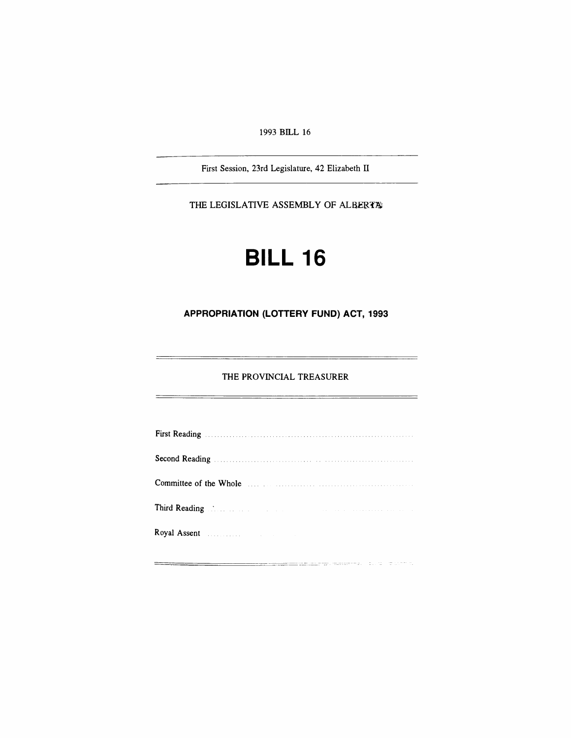1993 BILL 16

First Session, 23rd Legislature, 42 Elizabeth II

THE LEGISLATIVE ASSEMBLY OF ALBERTA

# **BILL 16**

## **APPROPRIATION (LOTTERY FUND) ACT, 1993**

#### THE PROVINCIAL TREASURER

 $=$ 

| Committee of the Whole <b>Example</b> 2014 11:20 12:20 12:20 12:20 12:20 12:20 12:20 12:20 12:20 12:20 12:20 12:20 12:20 12:20 12:20 12:20 12:20 12:20 12:20 12:20 12:20 12:20 12:20 12:20 12:20 12:20 12:20 12:20 12:20 12:20 12:2 |  |
|-------------------------------------------------------------------------------------------------------------------------------------------------------------------------------------------------------------------------------------|--|
| Third Reading Manual Communication of the Communication of the Communication of the Communication of the Communication of the Communication of the Communication of the Communication of the Communication of the Communicatio      |  |
| Royal Assent <b>Executive Community</b> and the <i>Second</i> Community of <i>Community</i>                                                                                                                                         |  |

<u> 1989 - 1989 - 1989 - 1989 - 1989 - 1989 - 1989 - 1989 - 1989 - 1989 - 1989 - 1989 - 1989 - 1989 - 1989 - 19</u>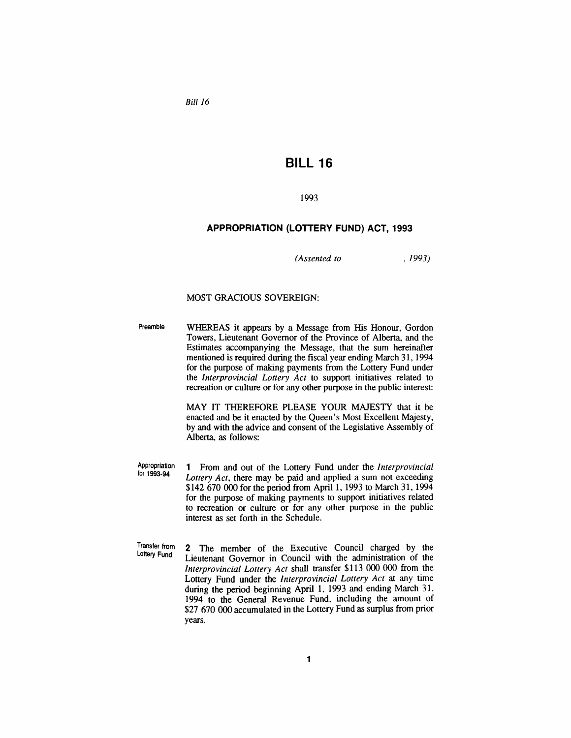*Bill 16*

## **BILL 16**

#### 1993

#### **APPROPRIATION (LOTTERY FUND) ACT, 1993**

*(Assented to* ,1993)

#### MOST GRACIOUS SOVEREIGN:

Preamble WHEREAS it appears by a Message from His Honour, Gordon Towers, Lieutenant Governor of the Province of Alberta, and the Estimates accompanying the Message, that the sum hereinafter mentioned is required during the fiscal year ending March 31, 1994 for the purpose of making payments from the Lottery Fund under the *Interprovincial Lottery Act* to support initiatives related to recreation or culture or for any other purpose in the public interest:

> MAY IT THEREFORE PLEASE YOUR MAJESTY that it be enacted and be it enacted by the Queen's Most Excellent Majesty, by and with the advice and consent of the Legislative Assembly of Alberta, as follows:

Appropriation for 1993-94 1 From and out of the Lottery Fund under the *Interprovincial Lottery Act,* there may be paid and applied a sum not exceeding \$142 670 000 for the period from April 1, 1993 to March 31, 1994 for the purpose of making payments to support initiatives related to recreation or culture or for any other purpose in the public interest as set forth in the Schedule.

Transfer from lottery Fund 2 The member of the Executive Council charged by the Lieutenant Governor in Council with the administration of the *Interprovincial Lottery Act* shall transfer \$113 000 000 from the Lottery Fund under the *Interprovincial Lottery Act* at any time during the period beginning April 1, 1993 and ending March 31, 1994 to the General Revenue Fund, including the amount of \$27 670 000 accumulated in the Lottery Fund as surplus from prior years.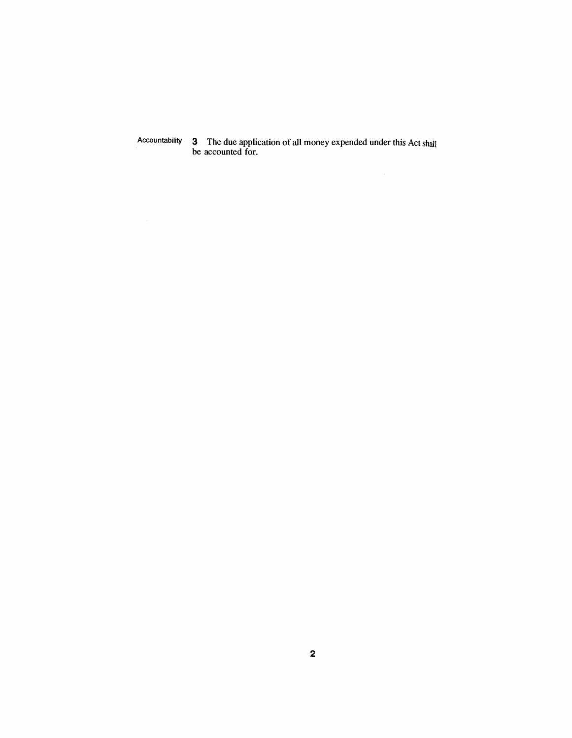Accountability 3 The due application of all money expended under this Act shall be accounted for.